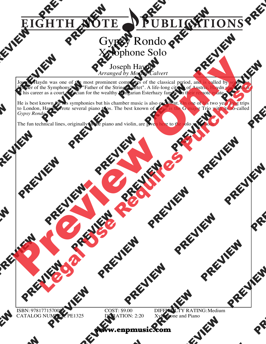## **EIGHTH NOTE PPUBLI**<br>
Gypsy Rondo<br>
Xylophone Solo<br> *Suseph Haydn*<br> *Arranged by Morley Calvert*<br>
Textar of the spannor and the strain terminal composes of the classical perfine that the property of the state of the state o **EIGHTH NOTE COVER DRAFT CONTRACT CONTRACT CONTRACT CONTRACT CONTRACT CONTRACT CONTRACT CONTRACT CONTRACT CONTRACT CONTRACT CONTRACT CONTRACT CONTRACT CONTRACT CONTRACT CONTRACT CONTRACT CONTRACT CONTRACT CONTRACT CONTRACT** EIGHTH NOTE DEUBLICATION<br>
Sylphone Solo<br>
Note that the main of the matched and the matched and the matched and the matched and the matched and the matched and the matched and the matched and the matched and the matched and EIGHTH NOTE PREVIEW Rondo<br>
Sylphone Solo<br>
Arrows Rondo<br>
The philing the wave and the material and the control of the state of the state of the state of the state of the state of the state of the state of the state of the s EIGHTH NOTE PUBLICATIONS<br>
Sylophone Solo<br>
Antistration<br>
Antistration<br>
Antistration<br>
PUBLICATIONS<br>
Sylophone Solo<br>
Antistration<br>
PUBLICATIONS

## Gypsy Rondo Xylophone Solo

*Arranged by Morley Calvert* Joseph Haydn

Joseph Haydn was one of the most prominent composers of the classical period, and is called by some the "Father of the Symphony" and "Father of the String Quartet". A life-long citizen of Austria, Haydn spent much of his career as a court musician for the wealthy Hungarian Esterhazy family on their remote estate. PREVIEW PREVIEW PREVIEW PREVIEW PREVIEW PREVIEW PREVIEW PREVIEW PREVIEW PREVIEW PREVIEW PREVIEW PREVIEW PREVIEW PREVIEW PREVIEW PREVIEW PREVIEW PREVIEW PREVIEW PREVIEW PREVIEW PREVIEW PREVIEW PREVIEW PREVIEW PREVIEW PREVIE PREVIEW ROAD AND AN ARCHITECT IN THE VALUE OF THE VALUE OF THE VALUE OF THE VALUE OF THE VALUE OF THE VALUE OF THE VALUE OF THE VALUE OF THE VALUE OF THE VALUE OF THE VALUE OF THE VALUE OF THE VALUE OF THE VALUE OF THE VAL

He is best known for his symphonies but his chamber music is also excellent. On one of his two year long trips<br>to London. Havdn wrote several piano trios. The best known of these is the Gymaior Trio with its so-called to London, Haydn wrote several piano trios. The best known of these is the G major Trio with *Gypsy Rondo*. PREVIEW PREVIEW PREVIEW PREVIEW PREVIEW PREVIEW PREVIEW PREVIEW PREVIEW PREVIEW PREVIEW PREVIEW PREVIEW PREVIEW PREVIEW PREVIEW PREVIEW PREVIEW PREVIEW PREVIEW PREVIEW PREVIEW PREVIEW PREVIEW PREVIEW PREVIEW PREVIEW PREVIE Toseph Haydn<br>
Toseph Haydn<br>
Tradisc of the most premisent compones of the distribution of the stress of the changed by Morley Calvert<br>
Tradisc of the Synaphony' and Tradisc of the String Quartet'. A life-dong chicago densi Not was one of the most prominent composes of the classical periodic state of the Symptony and Tenter of the Swimpton Hang channel Section of family because the state of the wealthy Hungarian Esterhazy family was the state

The fun technical lines, originally in the piano and violin, are given here to the solo xylop PREVIEW REVIEW PREVIEW PREVIEW PREVIEW PREVIEW PREVIEW PREVIEW PREVIEW PREVIEW PREVIEW PREVIEW PREVIEW PREVIEW PREVIEW PREVIEW PREVIEW PREVIEW PREVIEW PREVIEW PREVIEW PREVIEW PREVIEW PREVIEW PREVIEW PREVIEW PREVIEW PREVIEW

ISBN: 9781771570084 CATALOG NUMBER: PE1325 COST: \$9.00 DURATION: 2:20

DIFFICULTY RATING:Medium Xylophone and Piano PREVIEW PREVIEW PREVIEW PREVIEW PREVIEW PREVIEW PREVIEW PREVIEW PREVIEW PREVIEW PREVIEW PREVIEW PREVIEW PREVIEW PREVIEW PREVIEW PREVIEW PREVIEW PREVIEW PREVIEW PREVIEW PREVIEW PREVIEW PREVIEW PREVIEW PREVIEW PREVIEW PREVIE PREVIEW PREVIEW PREVIEW PREVIEW PREVIEW PREVIEW PREVIEW PREVIEW PREVIEW PREVIEW PREVIEW PREVIEW PREVIEW PREVIEW PREVIEW PREVIEW PREVIEW PREVIEW PREVIEW PREVIEW PREVIEW PREVIEW PREVIEW PREVIEW PREVIEW PREVIEW PREVIEW PREVIE

## **www.enpmusic.com**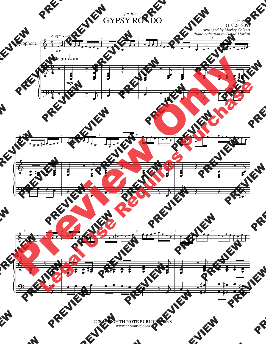*for Reece*<br>**GYPSY RONDO** 

GYPSY RONDO J. Haydn (1732-1809) *Arranged by Morley Calvert*



© 2013 **EIGHTH NOTE PUBLICATIONS** www.enpmusic.com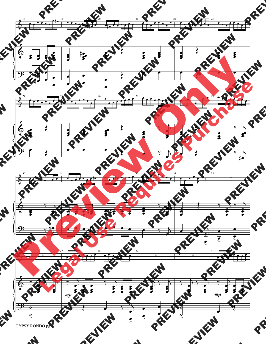





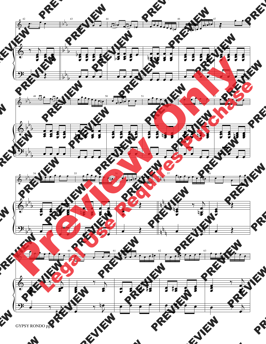

b

43

44

45

46

47

œ œ

42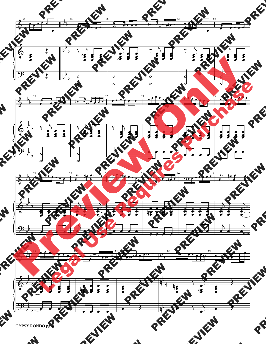